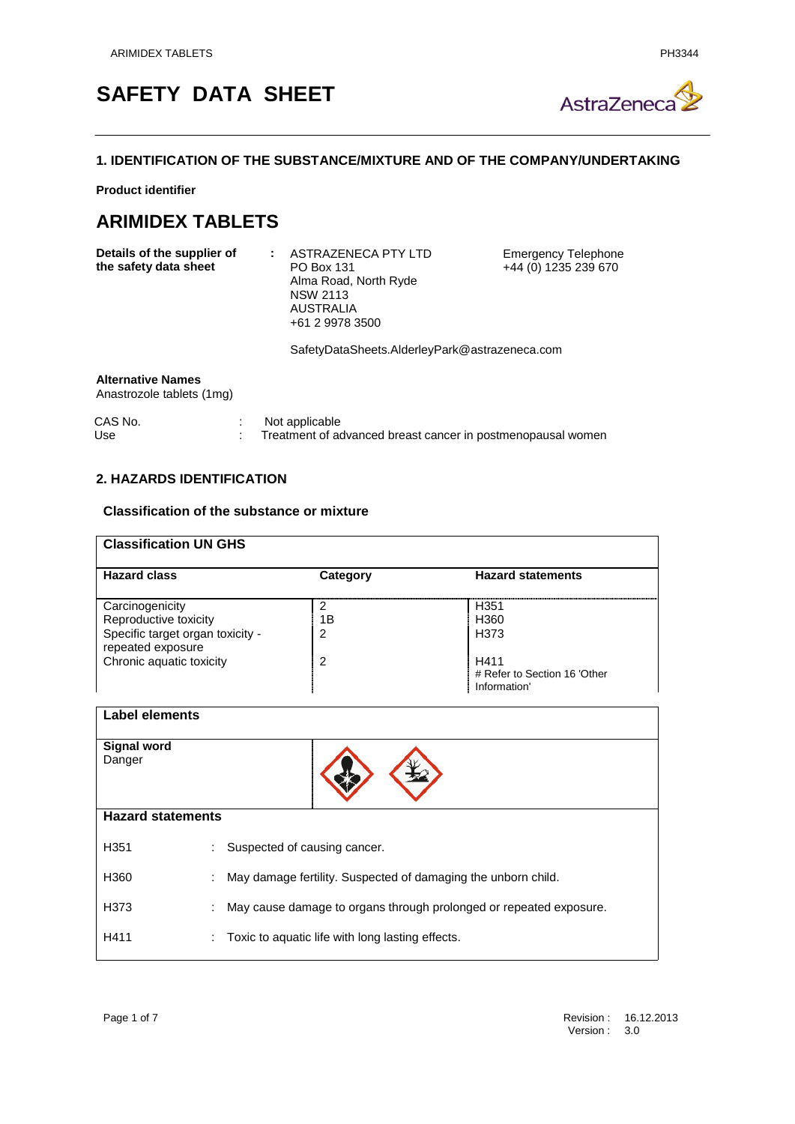# **SAFETY DATA SHEET**



# **1. IDENTIFICATION OF THE SUBSTANCE/MIXTURE AND OF THE COMPANY/UNDERTAKING**

**Product identifier**

# **ARIMIDEX TABLETS**

| Details of the supplier of | ASTRAZENECA PTY LTD   |
|----------------------------|-----------------------|
| the safety data sheet      | <b>PO Box 131</b>     |
|                            | Alma Road, North Ryde |
|                            | <b>NSW 2113</b>       |
|                            | AUSTRALIA             |
|                            | +61 2 9978 3500       |
|                            |                       |

Emergency Telephone +44 (0) 1235 239 670

SafetyDataSheets.AlderleyPark@astrazeneca.com

#### **Alternative Names**

Anastrozole tablets (1mg)

| CAS No. | Not applicable                                              |
|---------|-------------------------------------------------------------|
| Use     | Treatment of advanced breast cancer in postmenopausal women |

# **2. HAZARDS IDENTIFICATION**

## **Classification of the substance or mixture**

| <b>Classification UN GHS</b>                                                                      |              |                                                      |  |  |  |
|---------------------------------------------------------------------------------------------------|--------------|------------------------------------------------------|--|--|--|
| <b>Hazard class</b>                                                                               | Category     | <b>Hazard statements</b>                             |  |  |  |
| Carcinogenicity<br>Reproductive toxicity<br>Specific target organ toxicity -<br>repeated exposure | າ<br>1Β<br>2 | H351<br>H360<br>H <sub>3</sub> 73                    |  |  |  |
| Chronic aquatic toxicity                                                                          | 2            | H411<br># Refer to Section 16 'Other<br>Information' |  |  |  |

| <b>Label elements</b>        |                                                                    |
|------------------------------|--------------------------------------------------------------------|
| <b>Signal word</b><br>Danger |                                                                    |
| <b>Hazard statements</b>     |                                                                    |
| H351                         | Suspected of causing cancer.                                       |
| H360                         | May damage fertility. Suspected of damaging the unborn child.<br>÷ |
| H373                         | May cause damage to organs through prolonged or repeated exposure. |
| H411                         | Toxic to aquatic life with long lasting effects.<br>÷.             |

 $\overline{\phantom{a}}$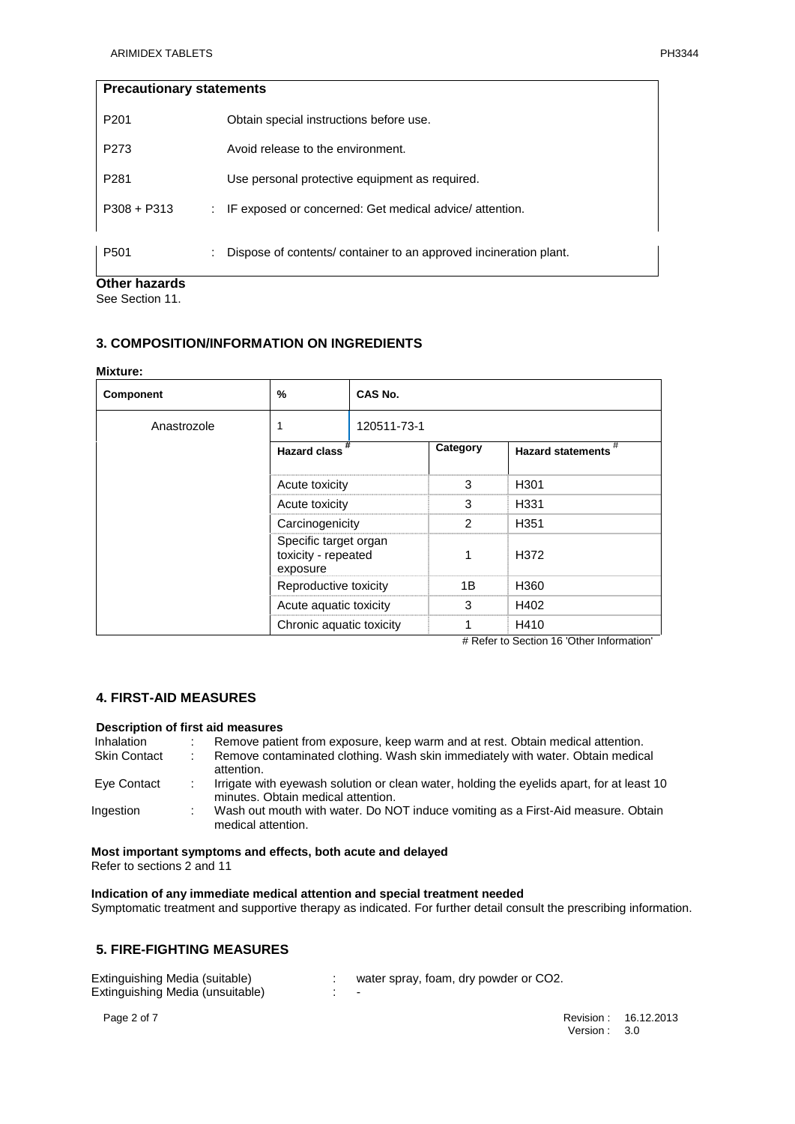| <b>Precautionary statements</b> |                                                                  |
|---------------------------------|------------------------------------------------------------------|
| P <sub>201</sub>                | Obtain special instructions before use.                          |
| P273                            | Avoid release to the environment.                                |
| P <sub>281</sub>                | Use personal protective equipment as required.                   |
| $P308 + P313$                   | : IF exposed or concerned: Get medical advice/attention.         |
| P <sub>501</sub>                | Dispose of contents/container to an approved incineration plant. |
|                                 |                                                                  |

**Other hazards**

See Section 11.

# **3. COMPOSITION/INFORMATION ON INGREDIENTS**

#### **Mixture:**

| <b>Component</b> | %                                                                                                                                        | CAS No.     |          |                          |
|------------------|------------------------------------------------------------------------------------------------------------------------------------------|-------------|----------|--------------------------|
| Anastrozole      |                                                                                                                                          | 120511-73-1 |          |                          |
|                  | <b>Hazard class</b>                                                                                                                      |             | Category | <b>Hazard statements</b> |
|                  | Acute toxicity<br>Acute toxicity<br>Carcinogenicity<br>Specific target organ<br>toxicity - repeated<br>exposure<br>Reproductive toxicity |             | 3        | H <sub>301</sub>         |
|                  |                                                                                                                                          |             | 3        | H331                     |
|                  |                                                                                                                                          |             |          | H <sub>351</sub>         |
|                  |                                                                                                                                          |             |          | H372                     |
|                  |                                                                                                                                          |             | 1Β.      | H360                     |
|                  | Acute aquatic toxicity                                                                                                                   |             | 3        | H402                     |
|                  | Chronic aquatic toxicity                                                                                                                 |             |          | H410                     |

# Refer to Section 16 'Other Information'

# **4. FIRST-AID MEASURES**

#### **Description of first aid measures**

| Inhalation          | Remove patient from exposure, keep warm and at rest. Obtain medical attention.                                                  |
|---------------------|---------------------------------------------------------------------------------------------------------------------------------|
| <b>Skin Contact</b> | Remove contaminated clothing. Wash skin immediately with water. Obtain medical<br>attention.                                    |
| Eye Contact         | Irrigate with eyewash solution or clean water, holding the eyelids apart, for at least 10<br>minutes. Obtain medical attention. |
| Ingestion           | Wash out mouth with water. Do NOT induce vomiting as a First-Aid measure. Obtain<br>medical attention.                          |

#### **Most important symptoms and effects, both acute and delayed** Refer to sections 2 and 11

**Indication of any immediate medical attention and special treatment needed**

Symptomatic treatment and supportive therapy as indicated. For further detail consult the prescribing information.

# **5. FIRE-FIGHTING MEASURES**

| Extinguishing Media (suitable)   | water spray, foam, dry powder or CO2. |
|----------------------------------|---------------------------------------|
| Extinguishing Media (unsuitable) | $\overline{\phantom{0}}$              |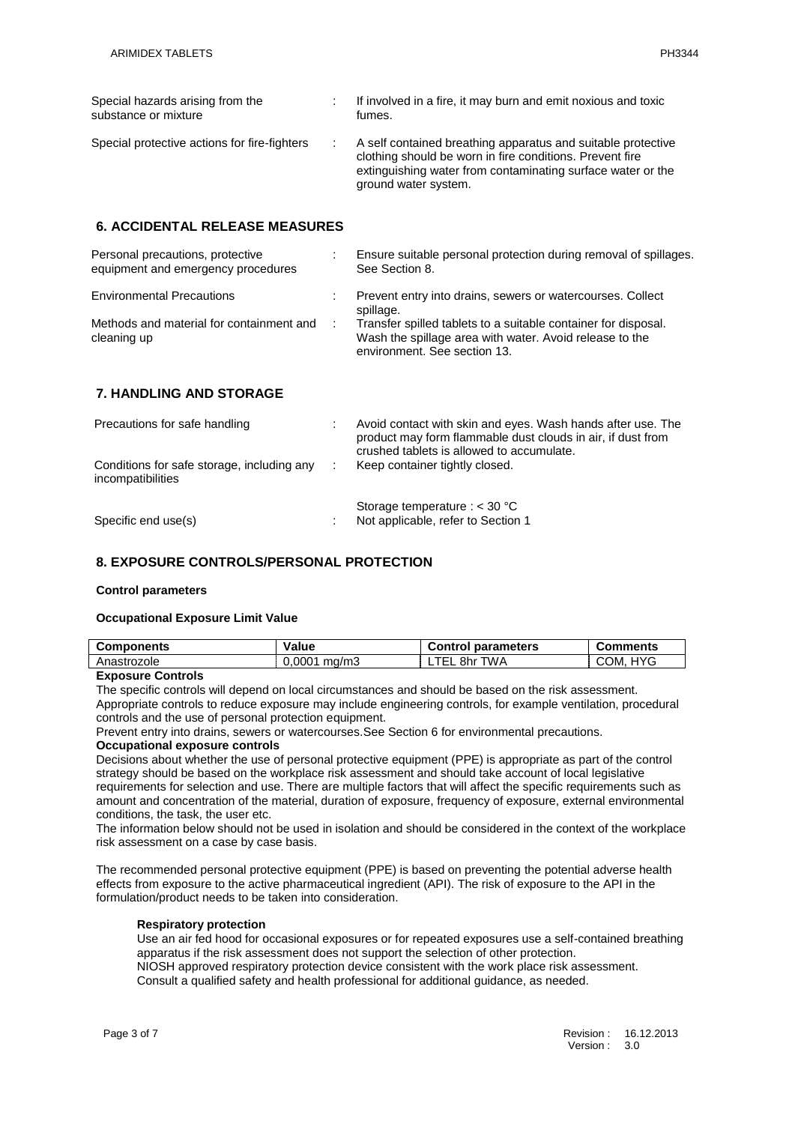| Special hazards arising from the<br>substance or mixture | If involved in a fire, it may burn and emit noxious and toxic<br>fumes.                                                                                                                                         |
|----------------------------------------------------------|-----------------------------------------------------------------------------------------------------------------------------------------------------------------------------------------------------------------|
| Special protective actions for fire-fighters             | A self contained breathing apparatus and suitable protective<br>clothing should be worn in fire conditions. Prevent fire<br>extinguishing water from contaminating surface water or the<br>ground water system. |

# **6. ACCIDENTAL RELEASE MEASURES**

| Personal precautions, protective<br>equipment and emergency procedures | Ensure suitable personal protection during removal of spillages.<br>See Section 8.                                                                        |
|------------------------------------------------------------------------|-----------------------------------------------------------------------------------------------------------------------------------------------------------|
| <b>Environmental Precautions</b>                                       | Prevent entry into drains, sewers or watercourses. Collect<br>spillage.                                                                                   |
| Methods and material for containment and<br>cleaning up                | Transfer spilled tablets to a suitable container for disposal.<br>Wash the spillage area with water. Avoid release to the<br>environment. See section 13. |
| <b>7. HANDLING AND STORAGE</b>                                         |                                                                                                                                                           |

| Precautions for safe handling                                   | Avoid contact with skin and eyes. Wash hands after use. The<br>product may form flammable dust clouds in air, if dust from<br>crushed tablets is allowed to accumulate. |
|-----------------------------------------------------------------|-------------------------------------------------------------------------------------------------------------------------------------------------------------------------|
| Conditions for safe storage, including any<br>incompatibilities | Keep container tightly closed.                                                                                                                                          |
| Specific end use(s)                                             | Storage temperature : $<$ 30 °C<br>Not applicable, refer to Section 1                                                                                                   |

# **8. EXPOSURE CONTROLS/PERSONAL PROTECTION**

#### **Control parameters**

#### **Occupational Exposure Limit Value**

| <b>Components</b> | Value          | <b>Control parameters</b> | <b>Comments</b>    |
|-------------------|----------------|---------------------------|--------------------|
| Anastrozole       | $0.0001$ ma/m3 | TEL.<br>8hr TWA           | <b>HYG</b><br>COM. |

#### **Exposure Controls**

The specific controls will depend on local circumstances and should be based on the risk assessment. Appropriate controls to reduce exposure may include engineering controls, for example ventilation, procedural controls and the use of personal protection equipment.

Prevent entry into drains, sewers or watercourses.See Section 6 for environmental precautions.

#### **Occupational exposure controls**

Decisions about whether the use of personal protective equipment (PPE) is appropriate as part of the control strategy should be based on the workplace risk assessment and should take account of local legislative requirements for selection and use. There are multiple factors that will affect the specific requirements such as amount and concentration of the material, duration of exposure, frequency of exposure, external environmental conditions, the task, the user etc.

The information below should not be used in isolation and should be considered in the context of the workplace risk assessment on a case by case basis.

The recommended personal protective equipment (PPE) is based on preventing the potential adverse health effects from exposure to the active pharmaceutical ingredient (API). The risk of exposure to the API in the formulation/product needs to be taken into consideration.

#### **Respiratory protection**

Use an air fed hood for occasional exposures or for repeated exposures use a self-contained breathing apparatus if the risk assessment does not support the selection of other protection. NIOSH approved respiratory protection device consistent with the work place risk assessment.

Consult a qualified safety and health professional for additional guidance, as needed.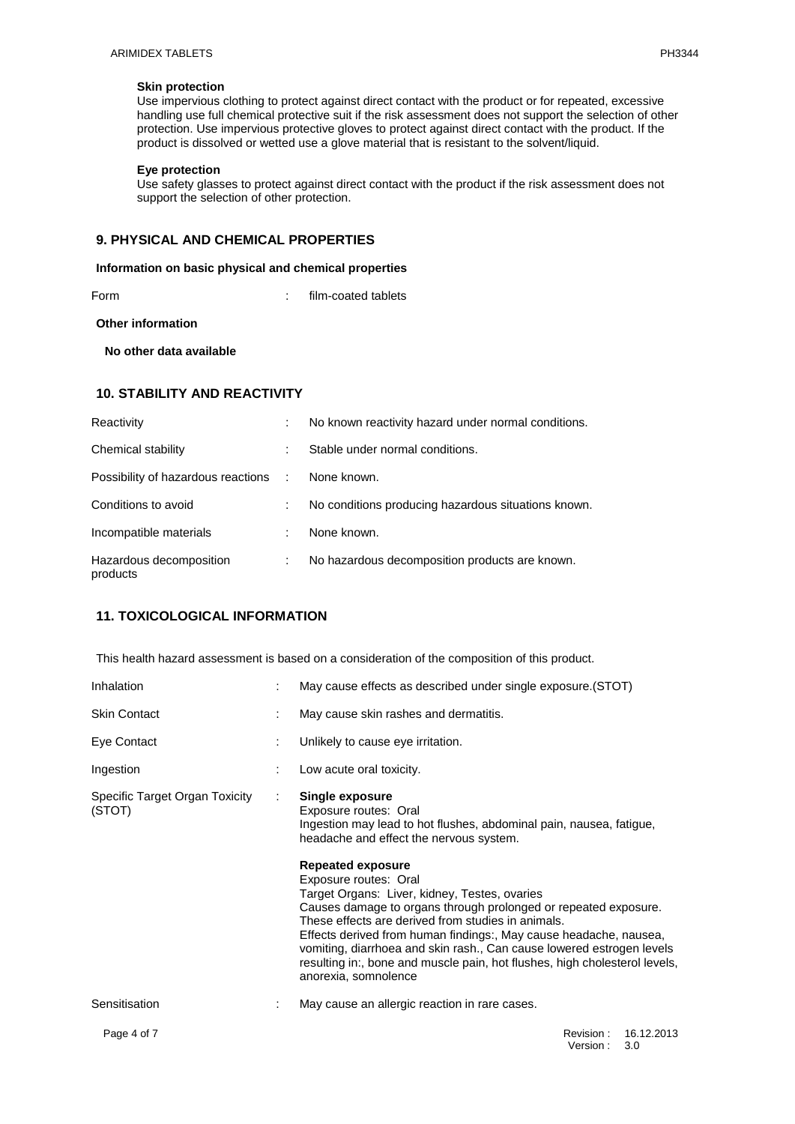#### **Skin protection**

Use impervious clothing to protect against direct contact with the product or for repeated, excessive handling use full chemical protective suit if the risk assessment does not support the selection of other protection. Use impervious protective gloves to protect against direct contact with the product. If the product is dissolved or wetted use a glove material that is resistant to the solvent/liquid.

#### **Eye protection**

Use safety glasses to protect against direct contact with the product if the risk assessment does not support the selection of other protection.

#### **9. PHYSICAL AND CHEMICAL PROPERTIES**

#### **Information on basic physical and chemical properties**

Form : film-coated tablets

**Other information**

 **No other data available**

#### **10. STABILITY AND REACTIVITY**

| Reactivity                           |   | No known reactivity hazard under normal conditions. |
|--------------------------------------|---|-----------------------------------------------------|
| Chemical stability                   | ÷ | Stable under normal conditions.                     |
| Possibility of hazardous reactions : |   | None known.                                         |
| Conditions to avoid                  |   | No conditions producing hazardous situations known. |
| Incompatible materials               | ÷ | None known.                                         |
| Hazardous decomposition<br>products  |   | No hazardous decomposition products are known.      |

# **11. TOXICOLOGICAL INFORMATION**

This health hazard assessment is based on a consideration of the composition of this product.

| Inhalation                               |   | May cause effects as described under single exposure. (STOT)                                                                                                                                                                                                                                                                                                                                                                                                                                                                                                                                                                                  |
|------------------------------------------|---|-----------------------------------------------------------------------------------------------------------------------------------------------------------------------------------------------------------------------------------------------------------------------------------------------------------------------------------------------------------------------------------------------------------------------------------------------------------------------------------------------------------------------------------------------------------------------------------------------------------------------------------------------|
| <b>Skin Contact</b>                      |   | May cause skin rashes and dermatitis.                                                                                                                                                                                                                                                                                                                                                                                                                                                                                                                                                                                                         |
| Eye Contact                              | ÷ | Unlikely to cause eye irritation.                                                                                                                                                                                                                                                                                                                                                                                                                                                                                                                                                                                                             |
| Ingestion                                |   | Low acute oral toxicity.                                                                                                                                                                                                                                                                                                                                                                                                                                                                                                                                                                                                                      |
| Specific Target Organ Toxicity<br>(STOT) | ÷ | Single exposure<br>Exposure routes: Oral<br>Ingestion may lead to hot flushes, abdominal pain, nausea, fatigue,<br>headache and effect the nervous system.<br><b>Repeated exposure</b><br>Exposure routes: Oral<br>Target Organs: Liver, kidney, Testes, ovaries<br>Causes damage to organs through prolonged or repeated exposure.<br>These effects are derived from studies in animals.<br>Effects derived from human findings:, May cause headache, nausea,<br>vomiting, diarrhoea and skin rash., Can cause lowered estrogen levels<br>resulting in:, bone and muscle pain, hot flushes, high cholesterol levels,<br>anorexia, somnolence |
| Sensitisation                            |   | May cause an allergic reaction in rare cases.                                                                                                                                                                                                                                                                                                                                                                                                                                                                                                                                                                                                 |
| Page 4 of 7                              |   | 16.12.2013<br>Revision:                                                                                                                                                                                                                                                                                                                                                                                                                                                                                                                                                                                                                       |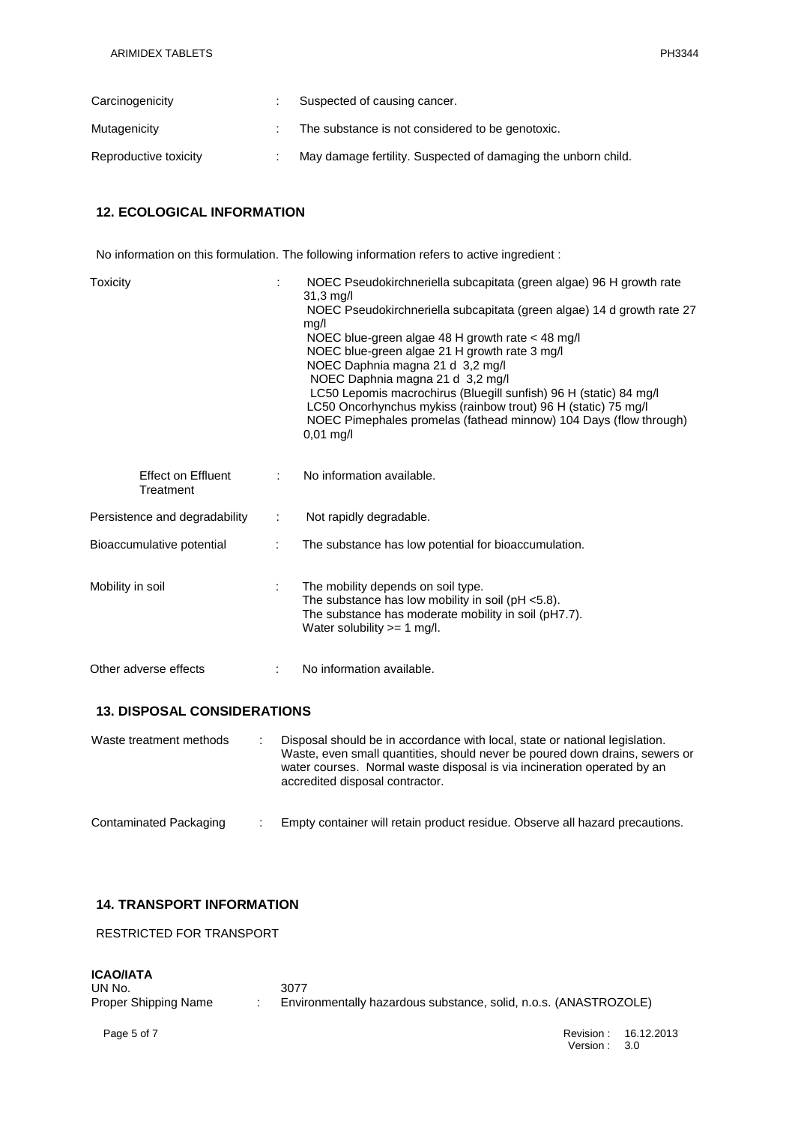| Carcinogenicity       | Suspected of causing cancer.                                  |
|-----------------------|---------------------------------------------------------------|
| Mutagenicity          | The substance is not considered to be genotoxic.              |
| Reproductive toxicity | May damage fertility. Suspected of damaging the unborn child. |

# **12. ECOLOGICAL INFORMATION**

No information on this formulation. The following information refers to active ingredient :

| Toxicity                               |   | NOEC Pseudokirchneriella subcapitata (green algae) 96 H growth rate<br>31,3 mg/l<br>NOEC Pseudokirchneriella subcapitata (green algae) 14 d growth rate 27<br>mg/l<br>NOEC blue-green algae 48 H growth rate < 48 mg/l<br>NOEC blue-green algae 21 H growth rate 3 mg/l<br>NOEC Daphnia magna 21 d 3,2 mg/l<br>NOEC Daphnia magna 21 d 3,2 mg/l<br>LC50 Lepomis macrochirus (Bluegill sunfish) 96 H (static) 84 mg/l<br>LC50 Oncorhynchus mykiss (rainbow trout) 96 H (static) 75 mg/l<br>NOEC Pimephales promelas (fathead minnow) 104 Days (flow through)<br>$0,01$ mg/l |
|----------------------------------------|---|----------------------------------------------------------------------------------------------------------------------------------------------------------------------------------------------------------------------------------------------------------------------------------------------------------------------------------------------------------------------------------------------------------------------------------------------------------------------------------------------------------------------------------------------------------------------------|
| <b>Effect on Effluent</b><br>Treatment |   | No information available.                                                                                                                                                                                                                                                                                                                                                                                                                                                                                                                                                  |
| Persistence and degradability          | ÷ | Not rapidly degradable.                                                                                                                                                                                                                                                                                                                                                                                                                                                                                                                                                    |
| Bioaccumulative potential              |   | The substance has low potential for bioaccumulation.                                                                                                                                                                                                                                                                                                                                                                                                                                                                                                                       |
| Mobility in soil                       |   | The mobility depends on soil type.<br>The substance has low mobility in soil ( $pH < 5.8$ ).<br>The substance has moderate mobility in soil (pH7.7).<br>Water solubility $>= 1$ mg/l.                                                                                                                                                                                                                                                                                                                                                                                      |
| Other adverse effects                  |   | No information available.                                                                                                                                                                                                                                                                                                                                                                                                                                                                                                                                                  |
| <b>13. DISPOSAL CONSIDERATIONS</b>     |   |                                                                                                                                                                                                                                                                                                                                                                                                                                                                                                                                                                            |
| Waste treatment methods                |   | Disposal should be in accordance with local, state or national legislation.<br>Waste, even small quantities, should never be poured down drains, sewers or<br>water courses. Normal waste disposal is via incineration operated by an<br>accredited disposal contractor.                                                                                                                                                                                                                                                                                                   |

| Contaminated Packaging | Empty container will retain product residue. Observe all hazard precautions. |  |
|------------------------|------------------------------------------------------------------------------|--|
|------------------------|------------------------------------------------------------------------------|--|

# **14. TRANSPORT INFORMATION**

RESTRICTED FOR TRANSPORT

#### **ICAO/IATA**

| UN No.               | 3077                                                             |
|----------------------|------------------------------------------------------------------|
| Proper Shipping Name | Environmentally hazardous substance, solid, n.o.s. (ANASTROZOLE) |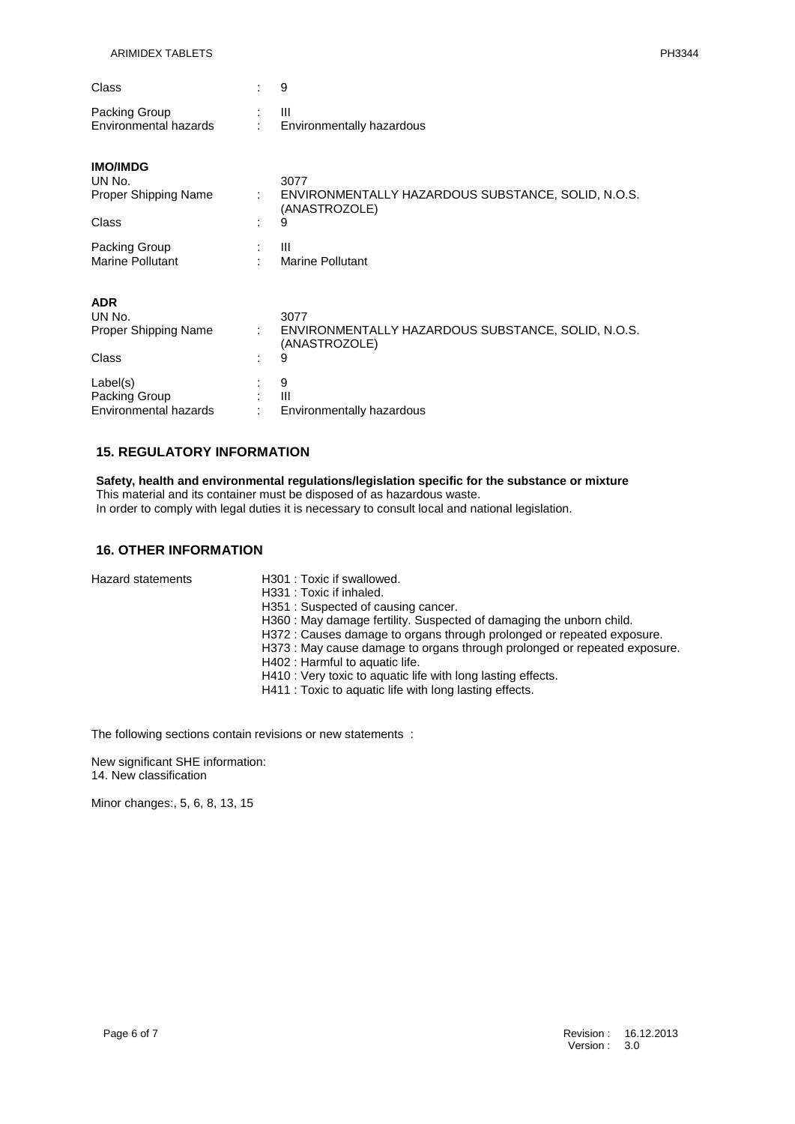| Class                 |                           |
|-----------------------|---------------------------|
| Packing Group         |                           |
| Environmental hazards | Environmentally hazardous |

| <b>IMO/IMDG</b><br>UN No.<br><b>Proper Shipping Name</b><br>Class | ÷<br>٠ | 3077<br>ENVIRONMENTALLY HAZARDOUS SUBSTANCE, SOLID, N.O.S.<br>(ANASTROZOLE)<br>9 |
|-------------------------------------------------------------------|--------|----------------------------------------------------------------------------------|
| Packing Group<br>Marine Pollutant                                 |        | Ш<br><b>Marine Pollutant</b>                                                     |
| <b>ADR</b><br>UN No.<br><b>Proper Shipping Name</b><br>Class      | ÷.     | 3077<br>ENVIRONMENTALLY HAZARDOUS SUBSTANCE, SOLID, N.O.S.<br>(ANASTROZOLE)<br>9 |
| Label(s)<br>Packing Group<br>Environmental hazards                | ٠      | 9<br>$\mathbf{III}$<br>Environmentally hazardous                                 |

#### **15. REGULATORY INFORMATION**

**Safety, health and environmental regulations/legislation specific for the substance or mixture** This material and its container must be disposed of as hazardous waste. In order to comply with legal duties it is necessary to consult local and national legislation.

## **16. OTHER INFORMATION**

|                   | H301 : Toxic if swallowed.                                                |
|-------------------|---------------------------------------------------------------------------|
| Hazard statements |                                                                           |
|                   | H331 : Toxic if inhaled.                                                  |
|                   | H351: Suspected of causing cancer.                                        |
|                   | H360 : May damage fertility. Suspected of damaging the unborn child.      |
|                   | H372 : Causes damage to organs through prolonged or repeated exposure.    |
|                   | H373 : May cause damage to organs through prolonged or repeated exposure. |
|                   | H402 : Harmful to aquatic life.                                           |
|                   | H410 : Very toxic to aquatic life with long lasting effects.              |
|                   | H411 : Toxic to aquatic life with long lasting effects.                   |
|                   |                                                                           |

The following sections contain revisions or new statements :

New significant SHE information: 14. New classification

Minor changes:, 5, 6, 8, 13, 15